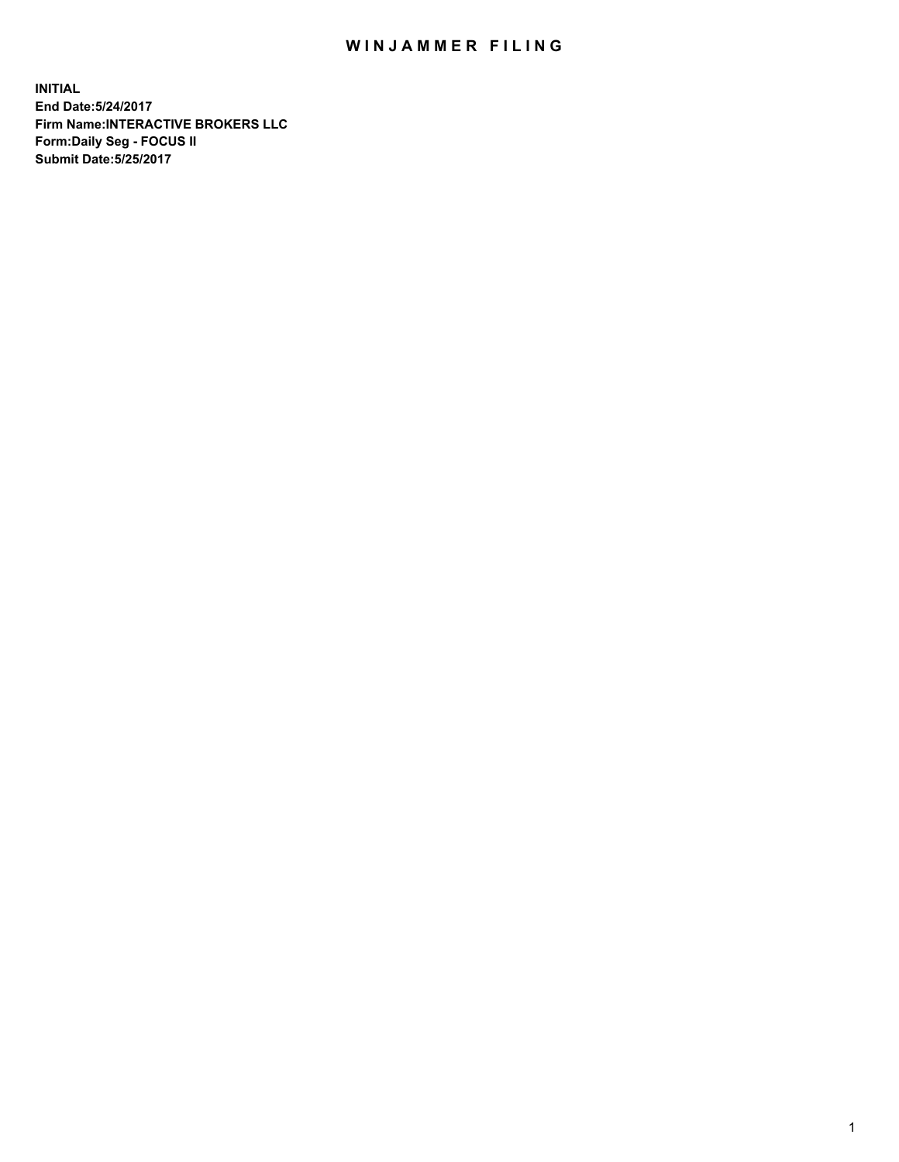## WIN JAMMER FILING

**INITIAL End Date:5/24/2017 Firm Name:INTERACTIVE BROKERS LLC Form:Daily Seg - FOCUS II Submit Date:5/25/2017**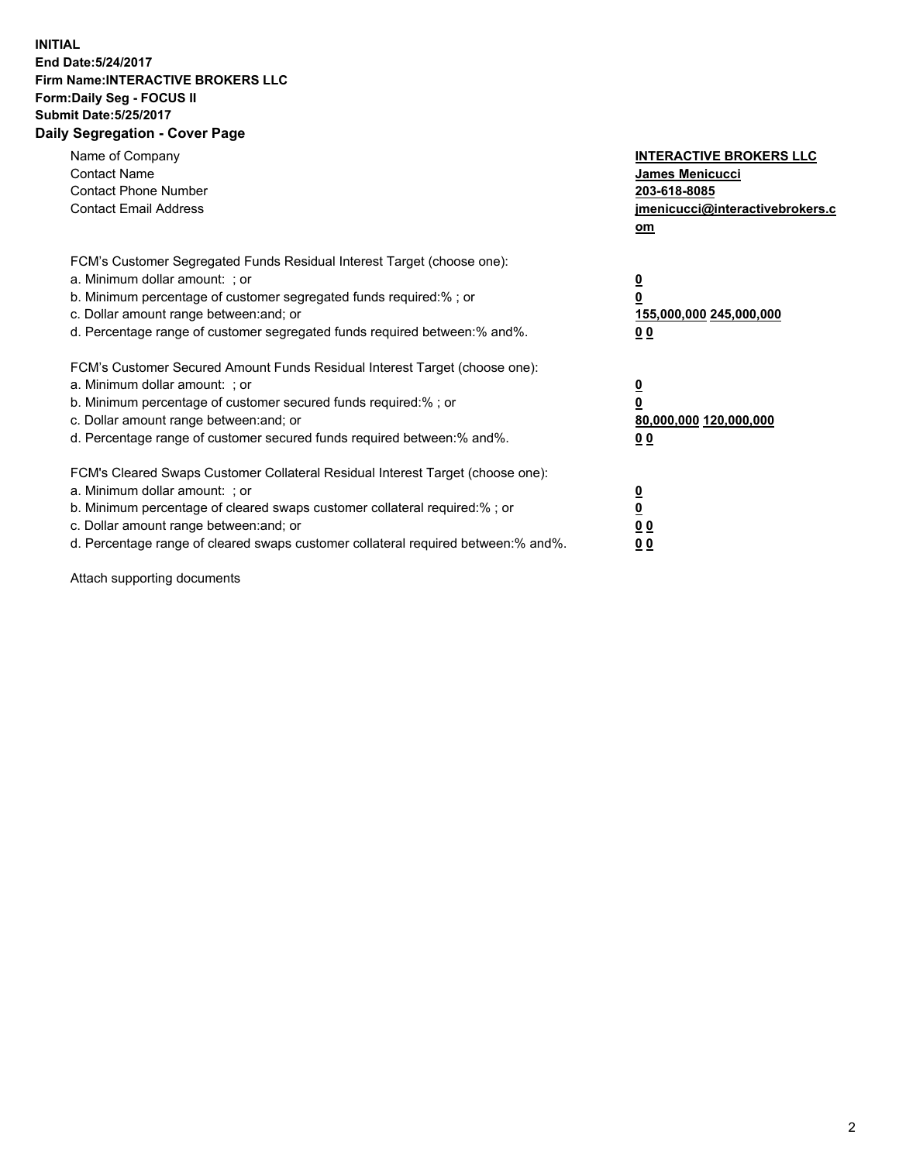## **INITIAL End Date:5/24/2017 Firm Name:INTERACTIVE BROKERS LLC Form:Daily Seg - FOCUS II Submit Date:5/25/2017 Daily Segregation - Cover Page**

| Name of Company<br><b>Contact Name</b><br><b>Contact Phone Number</b><br><b>Contact Email Address</b>                                                                                                                                                                                                                          | <b>INTERACTIVE BROKERS LLC</b><br>James Menicucci<br>203-618-8085<br>jmenicucci@interactivebrokers.c<br>om |
|--------------------------------------------------------------------------------------------------------------------------------------------------------------------------------------------------------------------------------------------------------------------------------------------------------------------------------|------------------------------------------------------------------------------------------------------------|
| FCM's Customer Segregated Funds Residual Interest Target (choose one):<br>a. Minimum dollar amount: ; or<br>b. Minimum percentage of customer segregated funds required:%; or<br>c. Dollar amount range between: and; or<br>d. Percentage range of customer segregated funds required between:% and%.                          | $\overline{\mathbf{0}}$<br>0<br>155,000,000 245,000,000<br>0 <sub>0</sub>                                  |
| FCM's Customer Secured Amount Funds Residual Interest Target (choose one):<br>a. Minimum dollar amount: ; or<br>b. Minimum percentage of customer secured funds required:%; or<br>c. Dollar amount range between: and; or<br>d. Percentage range of customer secured funds required between:% and%.                            | $\overline{\mathbf{0}}$<br>$\overline{\mathbf{0}}$<br>80,000,000 120,000,000<br>00                         |
| FCM's Cleared Swaps Customer Collateral Residual Interest Target (choose one):<br>a. Minimum dollar amount: ; or<br>b. Minimum percentage of cleared swaps customer collateral required:% ; or<br>c. Dollar amount range between: and; or<br>d. Percentage range of cleared swaps customer collateral required between:% and%. | $\overline{\mathbf{0}}$<br>$\overline{\mathbf{0}}$<br>0 <sub>0</sub><br><u>00</u>                          |

Attach supporting documents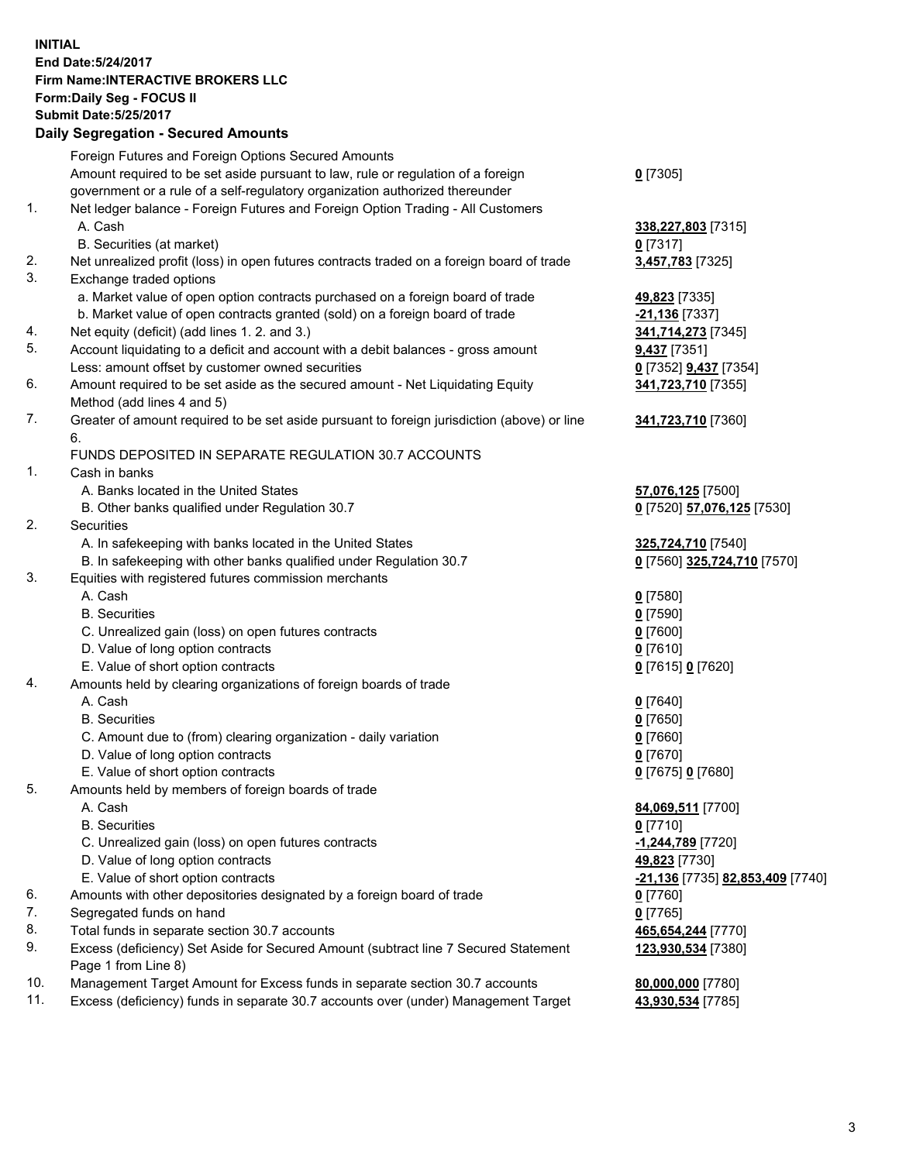## **INITIAL End Date:5/24/2017 Firm Name:INTERACTIVE BROKERS LLC Form:Daily Seg - FOCUS II Submit Date:5/25/2017**

|     | <b>Daily Segregation - Secured Amounts</b>                                                  |                                  |
|-----|---------------------------------------------------------------------------------------------|----------------------------------|
|     | Foreign Futures and Foreign Options Secured Amounts                                         |                                  |
|     | Amount required to be set aside pursuant to law, rule or regulation of a foreign            | $0$ [7305]                       |
|     | government or a rule of a self-regulatory organization authorized thereunder                |                                  |
| 1.  | Net ledger balance - Foreign Futures and Foreign Option Trading - All Customers             |                                  |
|     | A. Cash                                                                                     | 338,227,803 [7315]               |
|     | B. Securities (at market)                                                                   | $0$ [7317]                       |
| 2.  | Net unrealized profit (loss) in open futures contracts traded on a foreign board of trade   | 3,457,783 [7325]                 |
| 3.  | Exchange traded options                                                                     |                                  |
|     | a. Market value of open option contracts purchased on a foreign board of trade              | 49,823 [7335]                    |
|     | b. Market value of open contracts granted (sold) on a foreign board of trade                | <u>-21,136</u> [7337]            |
| 4.  | Net equity (deficit) (add lines 1.2. and 3.)                                                | 341,714,273 [7345]               |
| 5.  | Account liquidating to a deficit and account with a debit balances - gross amount           | <b>9,437</b> [7351]              |
|     | Less: amount offset by customer owned securities                                            | 0 [7352] 9,437 [7354]            |
| 6.  | Amount required to be set aside as the secured amount - Net Liquidating Equity              | 341,723,710 [7355]               |
|     | Method (add lines 4 and 5)                                                                  |                                  |
| 7.  | Greater of amount required to be set aside pursuant to foreign jurisdiction (above) or line | 341,723,710 [7360]               |
|     | 6.                                                                                          |                                  |
|     | FUNDS DEPOSITED IN SEPARATE REGULATION 30.7 ACCOUNTS                                        |                                  |
| 1.  | Cash in banks                                                                               |                                  |
|     | A. Banks located in the United States                                                       | 57,076,125 [7500]                |
|     | B. Other banks qualified under Regulation 30.7                                              | 0 [7520] 57,076,125 [7530]       |
| 2.  | Securities                                                                                  |                                  |
|     | A. In safekeeping with banks located in the United States                                   | 325,724,710 [7540]               |
|     | B. In safekeeping with other banks qualified under Regulation 30.7                          | 0 [7560] 325,724,710 [7570]      |
| 3.  | Equities with registered futures commission merchants                                       |                                  |
|     | A. Cash                                                                                     | $0$ [7580]                       |
|     | <b>B.</b> Securities                                                                        | <u>0</u> [7590]                  |
|     | C. Unrealized gain (loss) on open futures contracts                                         | 0 [7600]                         |
|     | D. Value of long option contracts                                                           | $0$ [7610]                       |
|     | E. Value of short option contracts                                                          | 0 [7615] 0 [7620]                |
| 4.  | Amounts held by clearing organizations of foreign boards of trade                           |                                  |
|     | A. Cash                                                                                     | $0$ [7640]                       |
|     | <b>B.</b> Securities                                                                        | <u>0</u> [7650]                  |
|     | C. Amount due to (from) clearing organization - daily variation                             | 0 [7660]                         |
|     | D. Value of long option contracts                                                           | $0$ [7670]                       |
|     | E. Value of short option contracts                                                          | 0 [7675] 0 [7680]                |
| 5.  | Amounts held by members of foreign boards of trade                                          |                                  |
|     | A. Cash                                                                                     | 84,069,511 [7700]                |
|     | <b>B.</b> Securities                                                                        | $0$ [7710]                       |
|     | C. Unrealized gain (loss) on open futures contracts                                         | -1,244,789 [7720]                |
|     | D. Value of long option contracts                                                           | 49,823 [7730]                    |
|     | E. Value of short option contracts                                                          | -21,136 [7735] 82,853,409 [7740] |
| 6.  | Amounts with other depositories designated by a foreign board of trade                      | $0$ [7760]                       |
| 7.  | Segregated funds on hand                                                                    | $0$ [7765]                       |
| 8.  | Total funds in separate section 30.7 accounts                                               | 465,654,244 [7770]               |
| 9.  | Excess (deficiency) Set Aside for Secured Amount (subtract line 7 Secured Statement         | 123,930,534 [7380]               |
|     | Page 1 from Line 8)                                                                         |                                  |
| 10. | Management Target Amount for Excess funds in separate section 30.7 accounts                 | 80,000,000 [7780]                |
| 11. | Excess (deficiency) funds in separate 30.7 accounts over (under) Management Target          | 43,930,534 [7785]                |
|     |                                                                                             |                                  |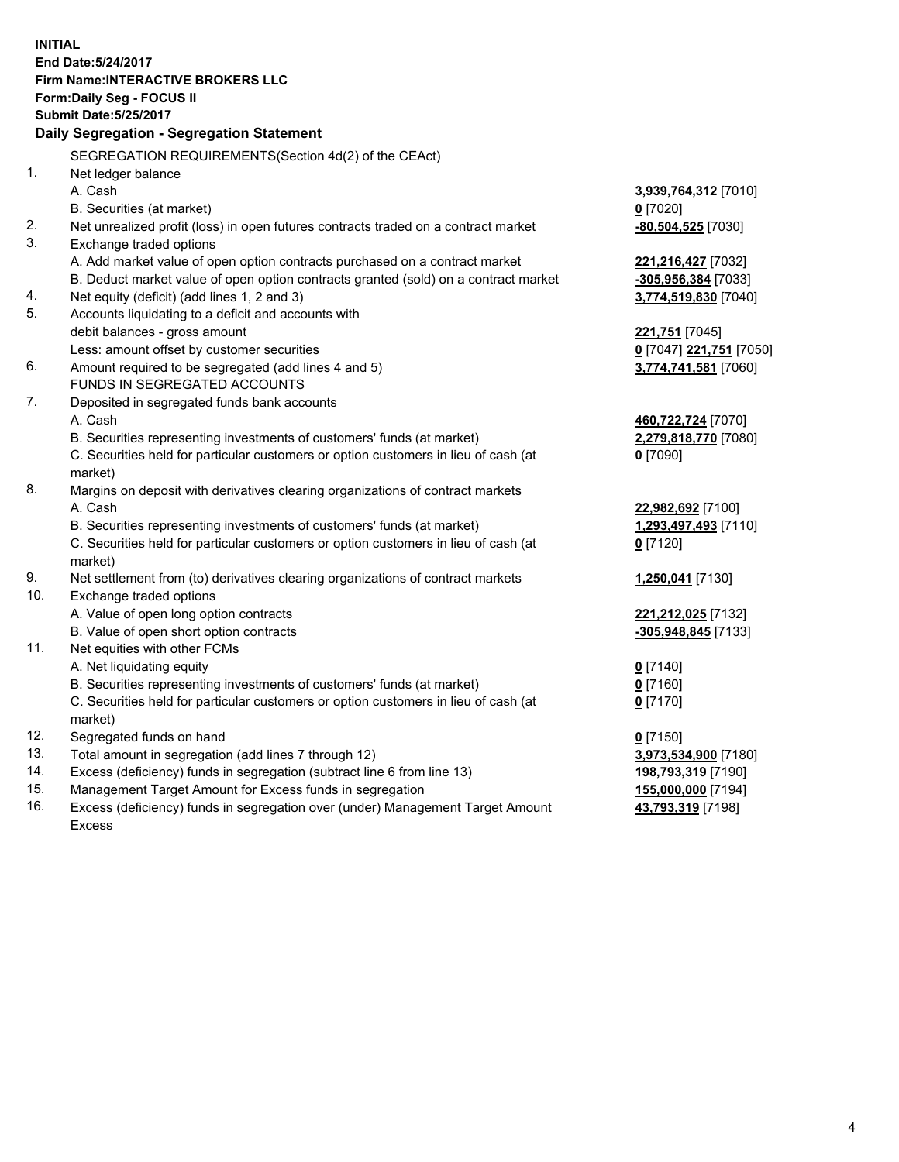**INITIAL End Date:5/24/2017 Firm Name:INTERACTIVE BROKERS LLC Form:Daily Seg - FOCUS II Submit Date:5/25/2017 Daily Segregation - Segregation Statement** SEGREGATION REQUIREMENTS(Section 4d(2) of the CEAct) 1. Net ledger balance A. Cash **3,939,764,312** [7010] B. Securities (at market) **0** [7020] 2. Net unrealized profit (loss) in open futures contracts traded on a contract market **-80,504,525** [7030] 3. Exchange traded options A. Add market value of open option contracts purchased on a contract market **221,216,427** [7032] B. Deduct market value of open option contracts granted (sold) on a contract market **-305,956,384** [7033] 4. Net equity (deficit) (add lines 1, 2 and 3) **3,774,519,830** [7040] 5. Accounts liquidating to a deficit and accounts with debit balances - gross amount **221,751** [7045] Less: amount offset by customer securities **0** [7047] **221,751** [7050] 6. Amount required to be segregated (add lines 4 and 5) **3,774,741,581** [7060] FUNDS IN SEGREGATED ACCOUNTS 7. Deposited in segregated funds bank accounts A. Cash **460,722,724** [7070] B. Securities representing investments of customers' funds (at market) **2,279,818,770** [7080] C. Securities held for particular customers or option customers in lieu of cash (at market) **0** [7090] 8. Margins on deposit with derivatives clearing organizations of contract markets A. Cash **22,982,692** [7100] B. Securities representing investments of customers' funds (at market) **1,293,497,493** [7110] C. Securities held for particular customers or option customers in lieu of cash (at market) **0** [7120] 9. Net settlement from (to) derivatives clearing organizations of contract markets **1,250,041** [7130] 10. Exchange traded options A. Value of open long option contracts **221,212,025** [7132] B. Value of open short option contracts **-305,948,845** [7133] 11. Net equities with other FCMs A. Net liquidating equity **0** [7140] B. Securities representing investments of customers' funds (at market) **0** [7160] C. Securities held for particular customers or option customers in lieu of cash (at market) **0** [7170] 12. Segregated funds on hand **0** [7150] 13. Total amount in segregation (add lines 7 through 12) **3,973,534,900** [7180] 14. Excess (deficiency) funds in segregation (subtract line 6 from line 13) **198,793,319** [7190] 15. Management Target Amount for Excess funds in segregation **155,000,000** [7194] **43,793,319** [7198]

16. Excess (deficiency) funds in segregation over (under) Management Target Amount Excess